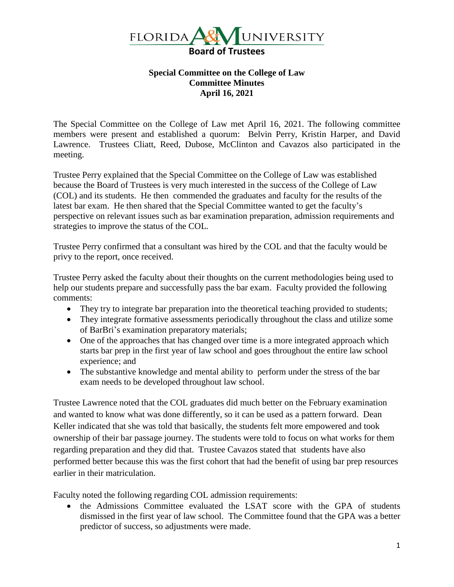

## **Special Committee on the College of Law Committee Minutes April 16, 2021**

The Special Committee on the College of Law met April 16, 2021. The following committee members were present and established a quorum: Belvin Perry, Kristin Harper, and David Lawrence. Trustees Cliatt, Reed, Dubose, McClinton and Cavazos also participated in the meeting.

Trustee Perry explained that the Special Committee on the College of Law was established because the Board of Trustees is very much interested in the success of the College of Law (COL) and its students. He then commended the graduates and faculty for the results of the latest bar exam. He then shared that the Special Committee wanted to get the faculty's perspective on relevant issues such as bar examination preparation, admission requirements and strategies to improve the status of the COL.

Trustee Perry confirmed that a consultant was hired by the COL and that the faculty would be privy to the report, once received.

Trustee Perry asked the faculty about their thoughts on the current methodologies being used to help our students prepare and successfully pass the bar exam. Faculty provided the following comments:

- They try to integrate bar preparation into the theoretical teaching provided to students;
- They integrate formative assessments periodically throughout the class and utilize some of BarBri's examination preparatory materials;
- One of the approaches that has changed over time is a more integrated approach which starts bar prep in the first year of law school and goes throughout the entire law school experience; and
- The substantive knowledge and mental ability to perform under the stress of the bar exam needs to be developed throughout law school.

Trustee Lawrence noted that the COL graduates did much better on the February examination and wanted to know what was done differently, so it can be used as a pattern forward. Dean Keller indicated that she was told that basically, the students felt more empowered and took ownership of their bar passage journey. The students were told to focus on what works for them regarding preparation and they did that. Trustee Cavazos stated that students have also performed better because this was the first cohort that had the benefit of using bar prep resources earlier in their matriculation.

Faculty noted the following regarding COL admission requirements:

• the Admissions Committee evaluated the LSAT score with the GPA of students dismissed in the first year of law school. The Committee found that the GPA was a better predictor of success, so adjustments were made.